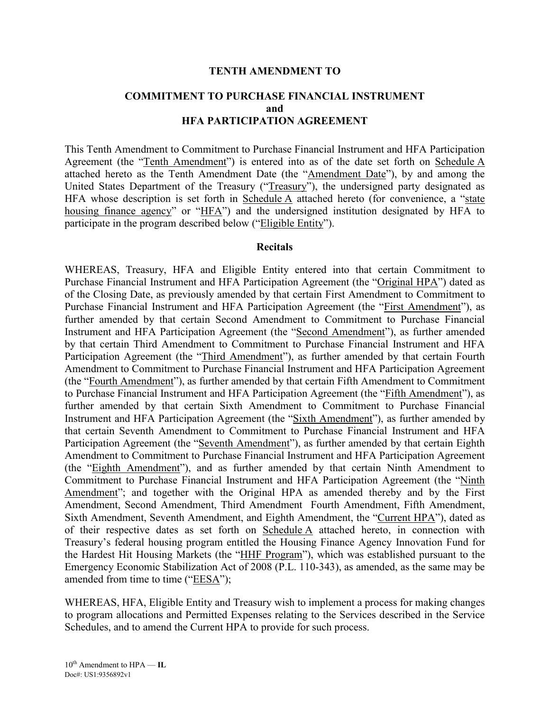#### **TENTH AMENDMENT TO**

# **COMMITMENT TO PURCHASE FINANCIAL INSTRUMENT and HFA PARTICIPATION AGREEMENT**

This Tenth Amendment to Commitment to Purchase Financial Instrument and HFA Participation Agreement (the "Tenth Amendment") is entered into as of the date set forth on Schedule A attached hereto as the Tenth Amendment Date (the "Amendment Date"), by and among the United States Department of the Treasury ("Treasury"), the undersigned party designated as HFA whose description is set forth in Schedule A attached hereto (for convenience, a "state housing finance agency" or "HFA") and the undersigned institution designated by HFA to participate in the program described below ("Eligible Entity").

#### **Recitals**

WHEREAS, Treasury, HFA and Eligible Entity entered into that certain Commitment to Purchase Financial Instrument and HFA Participation Agreement (the "Original HPA") dated as of the Closing Date, as previously amended by that certain First Amendment to Commitment to Purchase Financial Instrument and HFA Participation Agreement (the "First Amendment"), as further amended by that certain Second Amendment to Commitment to Purchase Financial Instrument and HFA Participation Agreement (the "Second Amendment"), as further amended by that certain Third Amendment to Commitment to Purchase Financial Instrument and HFA Participation Agreement (the "Third Amendment"), as further amended by that certain Fourth Amendment to Commitment to Purchase Financial Instrument and HFA Participation Agreement (the "Fourth Amendment"), as further amended by that certain Fifth Amendment to Commitment to Purchase Financial Instrument and HFA Participation Agreement (the "Fifth Amendment"), as further amended by that certain Sixth Amendment to Commitment to Purchase Financial Instrument and HFA Participation Agreement (the "Sixth Amendment"), as further amended by that certain Seventh Amendment to Commitment to Purchase Financial Instrument and HFA Participation Agreement (the "Seventh Amendment"), as further amended by that certain Eighth Amendment to Commitment to Purchase Financial Instrument and HFA Participation Agreement (the "Eighth Amendment"), and as further amended by that certain Ninth Amendment to Commitment to Purchase Financial Instrument and HFA Participation Agreement (the "Ninth Amendment"; and together with the Original HPA as amended thereby and by the First Amendment, Second Amendment, Third Amendment Fourth Amendment, Fifth Amendment, Sixth Amendment, Seventh Amendment, and Eighth Amendment, the "Current HPA"), dated as of their respective dates as set forth on Schedule A attached hereto, in connection with Treasury's federal housing program entitled the Housing Finance Agency Innovation Fund for the Hardest Hit Housing Markets (the "HHF Program"), which was established pursuant to the Emergency Economic Stabilization Act of 2008 (P.L. 110-343), as amended, as the same may be amended from time to time ("EESA");

WHEREAS, HFA, Eligible Entity and Treasury wish to implement a process for making changes to program allocations and Permitted Expenses relating to the Services described in the Service Schedules, and to amend the Current HPA to provide for such process.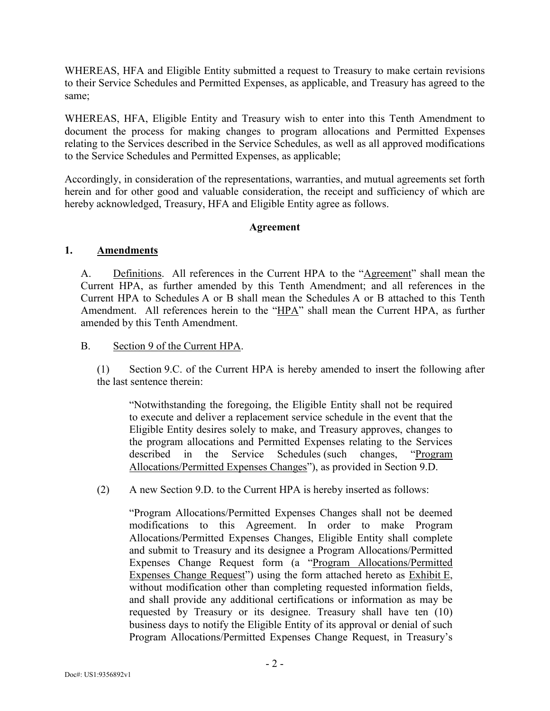WHEREAS, HFA and Eligible Entity submitted a request to Treasury to make certain revisions to their Service Schedules and Permitted Expenses, as applicable, and Treasury has agreed to the same;

WHEREAS, HFA, Eligible Entity and Treasury wish to enter into this Tenth Amendment to document the process for making changes to program allocations and Permitted Expenses relating to the Services described in the Service Schedules, as well as all approved modifications to the Service Schedules and Permitted Expenses, as applicable;

Accordingly, in consideration of the representations, warranties, and mutual agreements set forth herein and for other good and valuable consideration, the receipt and sufficiency of which are hereby acknowledged, Treasury, HFA and Eligible Entity agree as follows.

### **Agreement**

### **1. Amendments**

A. Definitions. All references in the Current HPA to the "Agreement" shall mean the Current HPA, as further amended by this Tenth Amendment; and all references in the Current HPA to Schedules A or B shall mean the Schedules A or B attached to this Tenth Amendment. All references herein to the "HPA" shall mean the Current HPA, as further amended by this Tenth Amendment.

B. Section 9 of the Current HPA.

(1) Section 9.C. of the Current HPA is hereby amended to insert the following after the last sentence therein:

"Notwithstanding the foregoing, the Eligible Entity shall not be required to execute and deliver a replacement service schedule in the event that the Eligible Entity desires solely to make, and Treasury approves, changes to the program allocations and Permitted Expenses relating to the Services described in the Service Schedules (such changes, "Program Allocations/Permitted Expenses Changes"), as provided in Section 9.D.

(2) A new Section 9.D. to the Current HPA is hereby inserted as follows:

"Program Allocations/Permitted Expenses Changes shall not be deemed modifications to this Agreement. In order to make Program Allocations/Permitted Expenses Changes, Eligible Entity shall complete and submit to Treasury and its designee a Program Allocations/Permitted Expenses Change Request form (a "Program Allocations/Permitted Expenses Change Request") using the form attached hereto as Exhibit E, without modification other than completing requested information fields, and shall provide any additional certifications or information as may be requested by Treasury or its designee. Treasury shall have ten (10) business days to notify the Eligible Entity of its approval or denial of such Program Allocations/Permitted Expenses Change Request, in Treasury's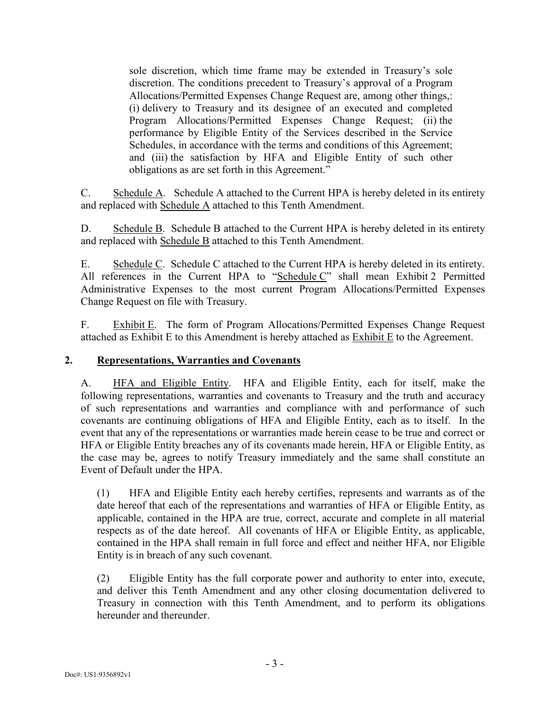sole discretion, which time frame may be extended in Treasury's sole discretion. The conditions precedent to Treasury's approval of a Program Allocations/Permitted Expenses Change Request are, among other things,: (i) delivery to Treasury and its designee of an executed and completed Program Allocations/Permitted Expenses Change Request; (ii) the performance by Eligible Entity of the Services described in the Service Schedules, in accordance with the terms and conditions of this Agreement; and (iii) the satisfaction by HFA and Eligible Entity of such other obligations as are set forth in this Agreement."

C. Schedule A. Schedule A attached to the Current HPA is hereby deleted in its entirety and replaced with Schedule A attached to this Tenth Amendment.

D. Schedule B. Schedule B attached to the Current HPA is hereby deleted in its entirety and replaced with Schedule B attached to this Tenth Amendment.

E. Schedule C. Schedule C attached to the Current HPA is hereby deleted in its entirety. All references in the Current HPA to "Schedule C" shall mean Exhibit 2 Permitted Administrative Expenses to the most current Program Allocations/Permitted Expenses Change Request on file with Treasury.

F. Exhibit E. The form of Program Allocations/Permitted Expenses Change Request attached as Exhibit E to this Amendment is hereby attached as Exhibit E to the Agreement.

#### **2. Representations, Warranties and Covenants**

A. HFA and Eligible Entity. HFA and Eligible Entity, each for itself, make the following representations, warranties and covenants to Treasury and the truth and accuracy of such representations and warranties and compliance with and performance of such covenants are continuing obligations of HFA and Eligible Entity, each as to itself. In the event that any of the representations or warranties made herein cease to be true and correct or HFA or Eligible Entity breaches any of its covenants made herein, HFA or Eligible Entity, as the case may be, agrees to notify Treasury immediately and the same shall constitute an Event of Default under the HPA.

(1) HFA and Eligible Entity each hereby certifies, represents and warrants as of the date hereof that each of the representations and warranties of HFA or Eligible Entity, as applicable, contained in the HPA are true, correct, accurate and complete in all material respects as of the date hereof. All covenants of HFA or Eligible Entity, as applicable, contained in the HPA shall remain in full force and effect and neither HFA, nor Eligible Entity is in breach of any such covenant.

(2) Eligible Entity has the full corporate power and authority to enter into, execute, and deliver this Tenth Amendment and any other closing documentation delivered to Treasury in connection with this Tenth Amendment, and to perform its obligations hereunder and thereunder.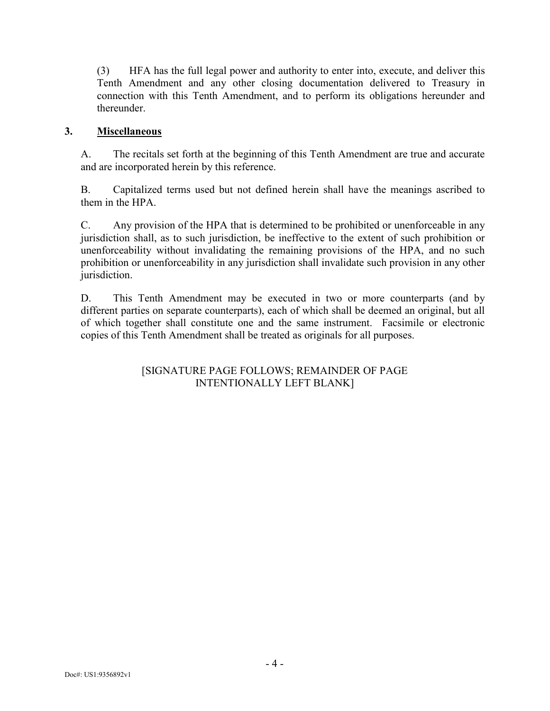(3) HFA has the full legal power and authority to enter into, execute, and deliver this Tenth Amendment and any other closing documentation delivered to Treasury in connection with this Tenth Amendment, and to perform its obligations hereunder and thereunder.

## **3. Miscellaneous**

A. The recitals set forth at the beginning of this Tenth Amendment are true and accurate and are incorporated herein by this reference.

B. Capitalized terms used but not defined herein shall have the meanings ascribed to them in the HPA.

C. Any provision of the HPA that is determined to be prohibited or unenforceable in any jurisdiction shall, as to such jurisdiction, be ineffective to the extent of such prohibition or unenforceability without invalidating the remaining provisions of the HPA, and no such prohibition or unenforceability in any jurisdiction shall invalidate such provision in any other jurisdiction.

D. This Tenth Amendment may be executed in two or more counterparts (and by different parties on separate counterparts), each of which shall be deemed an original, but all of which together shall constitute one and the same instrument. Facsimile or electronic copies of this Tenth Amendment shall be treated as originals for all purposes.

# [SIGNATURE PAGE FOLLOWS; REMAINDER OF PAGE INTENTIONALLY LEFT BLANK]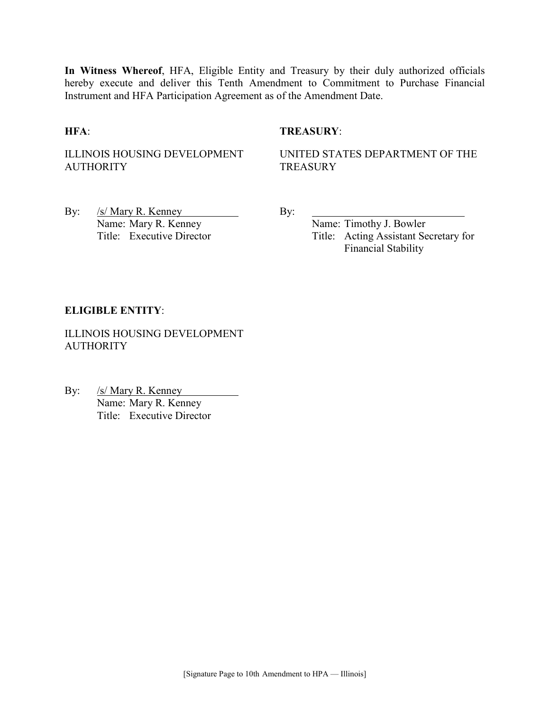**In Witness Whereof**, HFA, Eligible Entity and Treasury by their duly authorized officials hereby execute and deliver this Tenth Amendment to Commitment to Purchase Financial Instrument and HFA Participation Agreement as of the Amendment Date.

#### **HFA**: **TREASURY**:

ILLINOIS HOUSING DEVELOPMENT AUTHORITY

UNITED STATES DEPARTMENT OF THE **TREASURY** 

By: /s/ Mary R. Kenney By: Name: Mary R. Kenney<br>
Title: Executive Director<br>
Title: Acting Assistant Sec

Title: Acting Assistant Secretary for Financial Stability

#### **ELIGIBLE ENTITY**:

ILLINOIS HOUSING DEVELOPMENT **AUTHORITY** 

By: /s/ Mary R. Kenney Name: Mary R. Kenney Title: Executive Director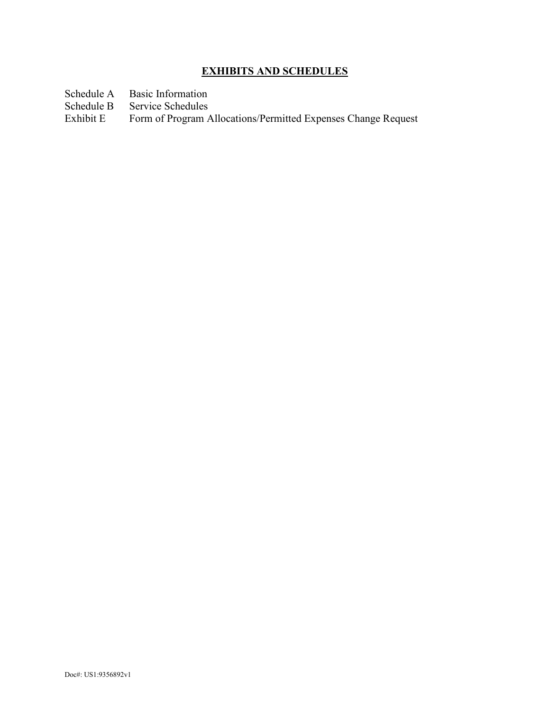# **EXHIBITS AND SCHEDULES**

- Schedule A Basic Information<br>Schedule B Service Schedules
- Schedule B Service Schedules<br>Exhibit E Form of Program A
- Form of Program Allocations/Permitted Expenses Change Request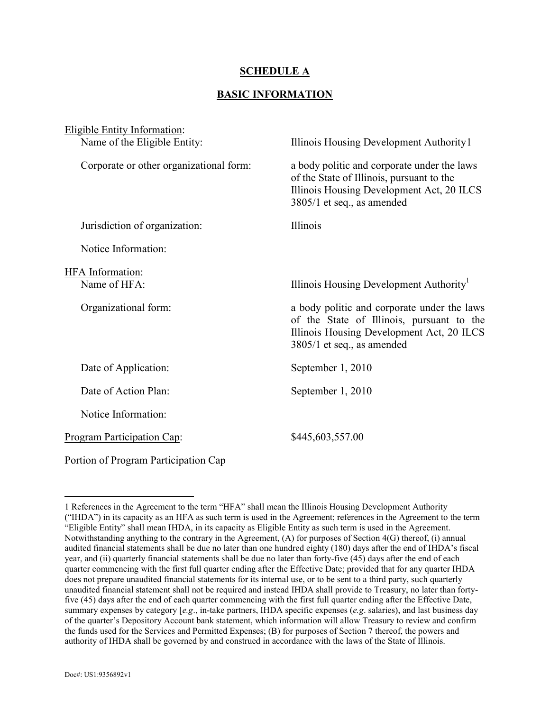#### **SCHEDULE A**

#### **BASIC INFORMATION**

| <b>Eligible Entity Information:</b>     |                                                                                                                                                                     |  |  |
|-----------------------------------------|---------------------------------------------------------------------------------------------------------------------------------------------------------------------|--|--|
| Name of the Eligible Entity:            | Illinois Housing Development Authority 1                                                                                                                            |  |  |
| Corporate or other organizational form: | a body politic and corporate under the laws<br>of the State of Illinois, pursuant to the<br>Illinois Housing Development Act, 20 ILCS<br>3805/1 et seq., as amended |  |  |
| Jurisdiction of organization:           | Illinois                                                                                                                                                            |  |  |
| Notice Information:                     |                                                                                                                                                                     |  |  |
| HFA Information:                        |                                                                                                                                                                     |  |  |
| Name of HFA:                            | Illinois Housing Development Authority <sup>1</sup>                                                                                                                 |  |  |
| Organizational form:                    | a body politic and corporate under the laws<br>of the State of Illinois, pursuant to the<br>Illinois Housing Development Act, 20 ILCS<br>3805/1 et seq., as amended |  |  |
| Date of Application:                    | September 1, 2010                                                                                                                                                   |  |  |
| Date of Action Plan:                    | September 1, 2010                                                                                                                                                   |  |  |
| Notice Information:                     |                                                                                                                                                                     |  |  |
| Program Participation Cap:              | \$445,603,557.00                                                                                                                                                    |  |  |
| Portion of Program Participation Cap    |                                                                                                                                                                     |  |  |

 $\overline{a}$ 

<span id="page-6-0"></span><sup>1</sup> References in the Agreement to the term "HFA" shall mean the Illinois Housing Development Authority ("IHDA") in its capacity as an HFA as such term is used in the Agreement; references in the Agreement to the term "Eligible Entity" shall mean IHDA, in its capacity as Eligible Entity as such term is used in the Agreement. Notwithstanding anything to the contrary in the Agreement, (A) for purposes of Section 4(G) thereof, (i) annual audited financial statements shall be due no later than one hundred eighty (180) days after the end of IHDA's fiscal year, and (ii) quarterly financial statements shall be due no later than forty-five (45) days after the end of each quarter commencing with the first full quarter ending after the Effective Date; provided that for any quarter IHDA does not prepare unaudited financial statements for its internal use, or to be sent to a third party, such quarterly unaudited financial statement shall not be required and instead IHDA shall provide to Treasury, no later than fortyfive (45) days after the end of each quarter commencing with the first full quarter ending after the Effective Date, summary expenses by category [*e.g*., in-take partners, IHDA specific expenses (*e.g*. salaries), and last business day of the quarter's Depository Account bank statement, which information will allow Treasury to review and confirm the funds used for the Services and Permitted Expenses; (B) for purposes of Section 7 thereof, the powers and authority of IHDA shall be governed by and construed in accordance with the laws of the State of Illinois.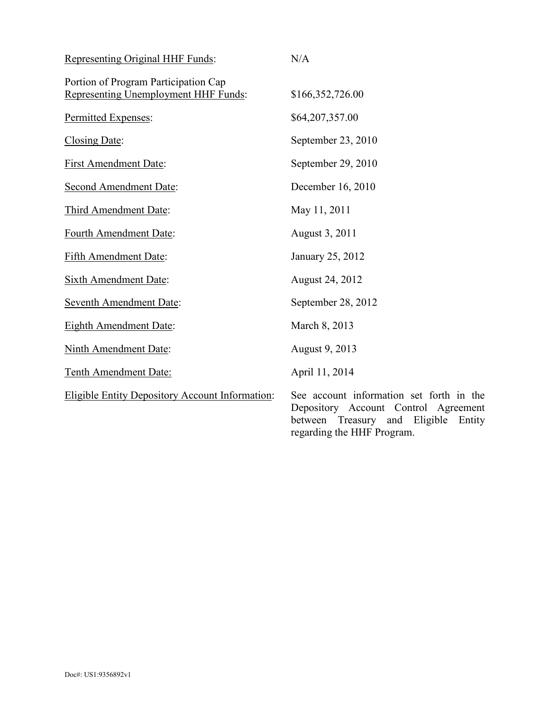| Representing Original HHF Funds:                                             | N/A                                                                                                                                                             |
|------------------------------------------------------------------------------|-----------------------------------------------------------------------------------------------------------------------------------------------------------------|
| Portion of Program Participation Cap<br>Representing Unemployment HHF Funds: | \$166,352,726.00                                                                                                                                                |
| Permitted Expenses:                                                          | \$64,207,357.00                                                                                                                                                 |
| Closing Date:                                                                | September 23, 2010                                                                                                                                              |
| <b>First Amendment Date:</b>                                                 | September 29, 2010                                                                                                                                              |
| <b>Second Amendment Date:</b>                                                | December 16, 2010                                                                                                                                               |
| Third Amendment Date:                                                        | May 11, 2011                                                                                                                                                    |
| Fourth Amendment Date:                                                       | August 3, 2011                                                                                                                                                  |
| Fifth Amendment Date:                                                        | January 25, 2012                                                                                                                                                |
| <b>Sixth Amendment Date:</b>                                                 | August 24, 2012                                                                                                                                                 |
| <b>Seventh Amendment Date:</b>                                               | September 28, 2012                                                                                                                                              |
| Eighth Amendment Date:                                                       | March 8, 2013                                                                                                                                                   |
| Ninth Amendment Date:                                                        | August 9, 2013                                                                                                                                                  |
| Tenth Amendment Date:                                                        | April 11, 2014                                                                                                                                                  |
| <b>Eligible Entity Depository Account Information:</b>                       | See account information set forth in the<br>Depository Account Control Agreement<br>Eligible<br>between<br>Treasury and<br>Entity<br>regarding the HHF Program. |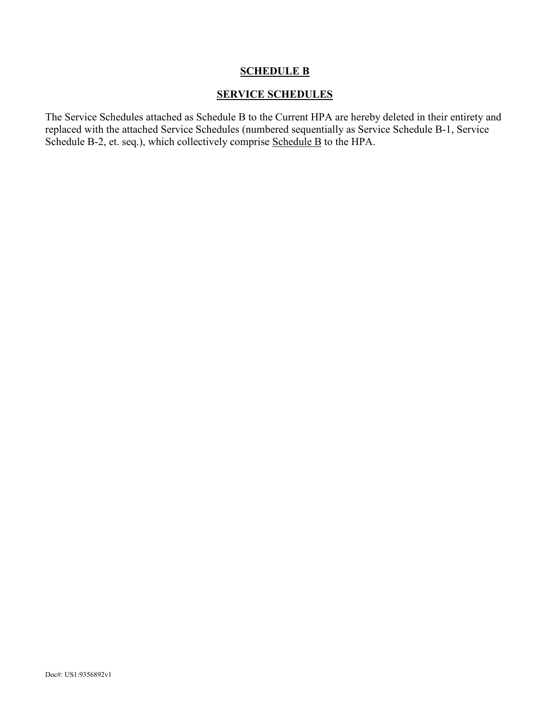## **SCHEDULE B**

#### **SERVICE SCHEDULES**

The Service Schedules attached as Schedule B to the Current HPA are hereby deleted in their entirety and replaced with the attached Service Schedules (numbered sequentially as Service Schedule B-1, Service Schedule B-2, et. seq.), which collectively comprise Schedule B to the HPA.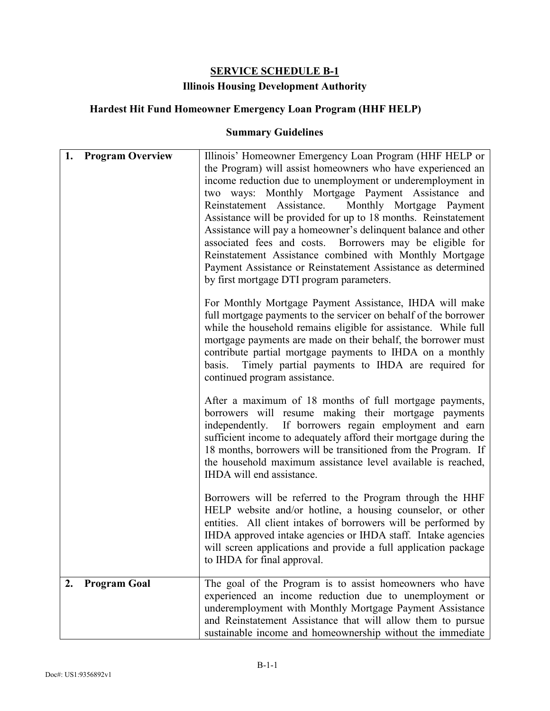# **SERVICE SCHEDULE B-1**

# **Illinois Housing Development Authority**

# **Hardest Hit Fund Homeowner Emergency Loan Program (HHF HELP)**

| 1. | <b>Program Overview</b> | Illinois' Homeowner Emergency Loan Program (HHF HELP or<br>the Program) will assist homeowners who have experienced an<br>income reduction due to unemployment or underemployment in<br>two ways: Monthly Mortgage Payment Assistance and<br>Reinstatement Assistance.<br>Monthly Mortgage Payment<br>Assistance will be provided for up to 18 months. Reinstatement<br>Assistance will pay a homeowner's delinquent balance and other<br>associated fees and costs. Borrowers may be eligible for<br>Reinstatement Assistance combined with Monthly Mortgage<br>Payment Assistance or Reinstatement Assistance as determined<br>by first mortgage DTI program parameters. |
|----|-------------------------|----------------------------------------------------------------------------------------------------------------------------------------------------------------------------------------------------------------------------------------------------------------------------------------------------------------------------------------------------------------------------------------------------------------------------------------------------------------------------------------------------------------------------------------------------------------------------------------------------------------------------------------------------------------------------|
|    |                         | For Monthly Mortgage Payment Assistance, IHDA will make<br>full mortgage payments to the servicer on behalf of the borrower<br>while the household remains eligible for assistance. While full<br>mortgage payments are made on their behalf, the borrower must<br>contribute partial mortgage payments to IHDA on a monthly<br>Timely partial payments to IHDA are required for<br>basis.<br>continued program assistance.                                                                                                                                                                                                                                                |
|    |                         | After a maximum of 18 months of full mortgage payments,<br>borrowers will resume making their mortgage payments<br>independently. If borrowers regain employment and earn<br>sufficient income to adequately afford their mortgage during the<br>18 months, borrowers will be transitioned from the Program. If<br>the household maximum assistance level available is reached,<br>IHDA will end assistance.                                                                                                                                                                                                                                                               |
|    |                         | Borrowers will be referred to the Program through the HHF<br>HELP website and/or hotline, a housing counselor, or other<br>entities. All client intakes of borrowers will be performed by<br>IHDA approved intake agencies or IHDA staff. Intake agencies<br>will screen applications and provide a full application package<br>to IHDA for final approval.                                                                                                                                                                                                                                                                                                                |
| 2. | <b>Program Goal</b>     | The goal of the Program is to assist homeowners who have<br>experienced an income reduction due to unemployment or<br>underemployment with Monthly Mortgage Payment Assistance<br>and Reinstatement Assistance that will allow them to pursue<br>sustainable income and homeownership without the immediate                                                                                                                                                                                                                                                                                                                                                                |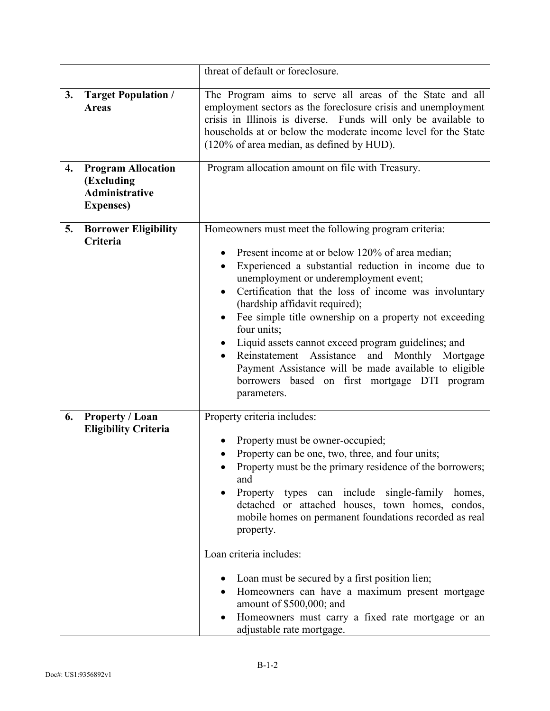|    |                                                                                       | threat of default or foreclosure.                                                                                                                                                                                                                                                                                                                                                                                                                                                                                                                                                                                                                     |
|----|---------------------------------------------------------------------------------------|-------------------------------------------------------------------------------------------------------------------------------------------------------------------------------------------------------------------------------------------------------------------------------------------------------------------------------------------------------------------------------------------------------------------------------------------------------------------------------------------------------------------------------------------------------------------------------------------------------------------------------------------------------|
| 3. | <b>Target Population /</b><br><b>Areas</b>                                            | The Program aims to serve all areas of the State and all<br>employment sectors as the foreclosure crisis and unemployment<br>crisis in Illinois is diverse. Funds will only be available to<br>households at or below the moderate income level for the State<br>(120% of area median, as defined by HUD).                                                                                                                                                                                                                                                                                                                                            |
| 4. | <b>Program Allocation</b><br>(Excluding<br><b>Administrative</b><br><b>Expenses</b> ) | Program allocation amount on file with Treasury.                                                                                                                                                                                                                                                                                                                                                                                                                                                                                                                                                                                                      |
| 5. | <b>Borrower Eligibility</b><br>Criteria                                               | Homeowners must meet the following program criteria:<br>Present income at or below 120% of area median;<br>Experienced a substantial reduction in income due to<br>$\bullet$<br>unemployment or underemployment event;<br>Certification that the loss of income was involuntary<br>$\bullet$<br>(hardship affidavit required);<br>Fee simple title ownership on a property not exceeding<br>$\bullet$<br>four units;<br>Liquid assets cannot exceed program guidelines; and<br>Reinstatement Assistance and Monthly Mortgage<br>Payment Assistance will be made available to eligible<br>borrowers based on first mortgage DTI program<br>parameters. |
| 6. | <b>Property / Loan</b><br><b>Eligibility Criteria</b>                                 | Property criteria includes:<br>Property must be owner-occupied;<br>Property can be one, two, three, and four units;<br>Property must be the primary residence of the borrowers;<br>and<br>Property types can include single-family<br>homes,<br>detached or attached houses, town homes, condos,<br>mobile homes on permanent foundations recorded as real<br>property.<br>Loan criteria includes:<br>Loan must be secured by a first position lien;<br>Homeowners can have a maximum present mortgage<br>amount of \$500,000; and<br>Homeowners must carry a fixed rate mortgage or an<br>adjustable rate mortgage.                                  |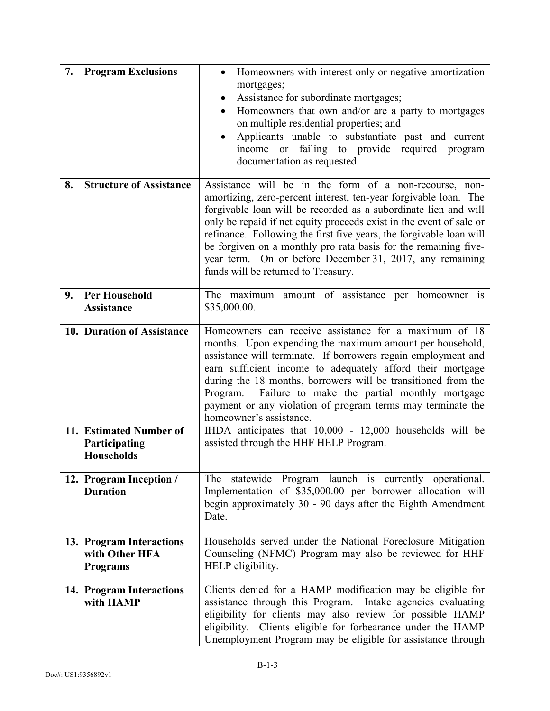| 7. | <b>Program Exclusions</b>                                     | Homeowners with interest-only or negative amortization<br>mortgages;<br>Assistance for subordinate mortgages;<br>Homeowners that own and/or are a party to mortgages<br>on multiple residential properties; and<br>Applicants unable to substantiate past and current<br>$\bullet$<br>income or failing to provide required program<br>documentation as requested.                                                                                                                                                |
|----|---------------------------------------------------------------|-------------------------------------------------------------------------------------------------------------------------------------------------------------------------------------------------------------------------------------------------------------------------------------------------------------------------------------------------------------------------------------------------------------------------------------------------------------------------------------------------------------------|
| 8. | <b>Structure of Assistance</b>                                | Assistance will be in the form of a non-recourse, non-<br>amortizing, zero-percent interest, ten-year forgivable loan. The<br>forgivable loan will be recorded as a subordinate lien and will<br>only be repaid if net equity proceeds exist in the event of sale or<br>refinance. Following the first five years, the forgivable loan will<br>be forgiven on a monthly pro rata basis for the remaining five-<br>year term. On or before December 31, 2017, any remaining<br>funds will be returned to Treasury. |
| 9. | <b>Per Household</b><br><b>Assistance</b>                     | The maximum amount of assistance per homeowner is<br>\$35,000.00.                                                                                                                                                                                                                                                                                                                                                                                                                                                 |
|    | 10. Duration of Assistance                                    | Homeowners can receive assistance for a maximum of 18<br>months. Upon expending the maximum amount per household,<br>assistance will terminate. If borrowers regain employment and<br>earn sufficient income to adequately afford their mortgage<br>during the 18 months, borrowers will be transitioned from the<br>Failure to make the partial monthly mortgage<br>Program.<br>payment or any violation of program terms may terminate the<br>homeowner's assistance.                                           |
|    | 11. Estimated Number of<br>Participating<br><b>Households</b> | IHDA anticipates that 10,000 - 12,000 households will be<br>assisted through the HHF HELP Program.                                                                                                                                                                                                                                                                                                                                                                                                                |
|    | 12. Program Inception /<br><b>Duration</b>                    | The statewide Program launch is currently operational.<br>Implementation of \$35,000.00 per borrower allocation will<br>begin approximately 30 - 90 days after the Eighth Amendment<br>Date.                                                                                                                                                                                                                                                                                                                      |
|    | 13. Program Interactions<br>with Other HFA<br><b>Programs</b> | Households served under the National Foreclosure Mitigation<br>Counseling (NFMC) Program may also be reviewed for HHF<br>HELP eligibility.                                                                                                                                                                                                                                                                                                                                                                        |
|    | 14. Program Interactions<br>with HAMP                         | Clients denied for a HAMP modification may be eligible for<br>assistance through this Program. Intake agencies evaluating<br>eligibility for clients may also review for possible HAMP<br>eligibility. Clients eligible for forbearance under the HAMP<br>Unemployment Program may be eligible for assistance through                                                                                                                                                                                             |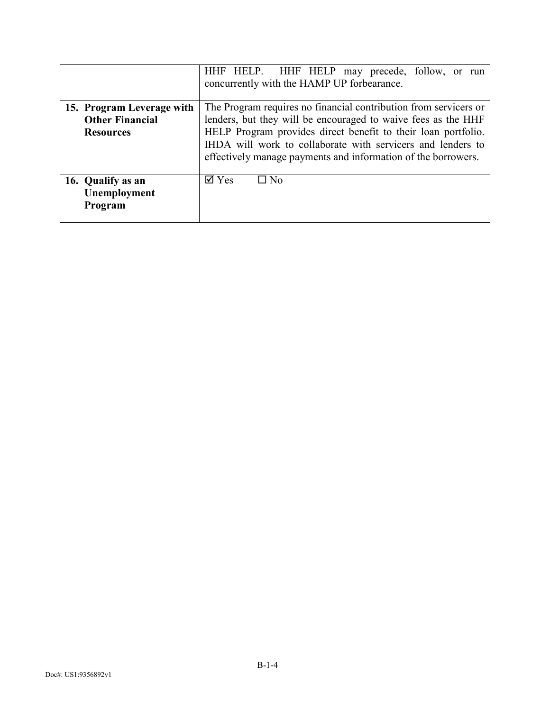|                           | HHF HELP. HHF HELP may precede, follow, or run<br>concurrently with the HAMP UP forbearance.                                 |
|---------------------------|------------------------------------------------------------------------------------------------------------------------------|
| 15. Program Leverage with | The Program requires no financial contribution from servicers or                                                             |
| <b>Other Financial</b>    | lenders, but they will be encouraged to waive fees as the HHF                                                                |
| <b>Resources</b>          | HELP Program provides direct benefit to their loan portfolio.                                                                |
|                           | IHDA will work to collaborate with servicers and lenders to<br>effectively manage payments and information of the borrowers. |
| 16. Qualify as an         | $\overline{\mathsf{d}}$ Yes<br>$\square$ No                                                                                  |
| Unemployment              |                                                                                                                              |
| Program                   |                                                                                                                              |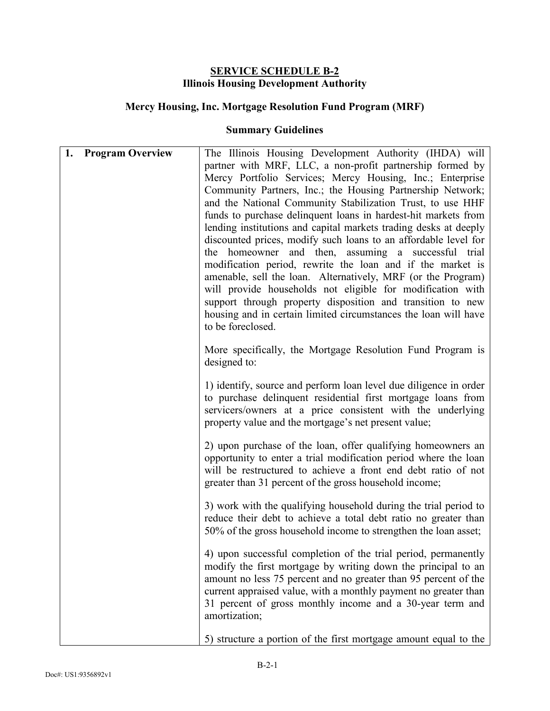#### **SERVICE SCHEDULE B-2 Illinois Housing Development Authority**

# **Mercy Housing, Inc. Mortgage Resolution Fund Program (MRF)**

| 1.<br><b>Program Overview</b> | The Illinois Housing Development Authority (IHDA) will<br>partner with MRF, LLC, a non-profit partnership formed by<br>Mercy Portfolio Services; Mercy Housing, Inc.; Enterprise<br>Community Partners, Inc.; the Housing Partnership Network;<br>and the National Community Stabilization Trust, to use HHF<br>funds to purchase delinquent loans in hardest-hit markets from<br>lending institutions and capital markets trading desks at deeply<br>discounted prices, modify such loans to an affordable level for<br>the homeowner and then, assuming a successful trial<br>modification period, rewrite the loan and if the market is<br>amenable, sell the loan. Alternatively, MRF (or the Program)<br>will provide households not eligible for modification with<br>support through property disposition and transition to new<br>housing and in certain limited circumstances the loan will have<br>to be foreclosed. |
|-------------------------------|--------------------------------------------------------------------------------------------------------------------------------------------------------------------------------------------------------------------------------------------------------------------------------------------------------------------------------------------------------------------------------------------------------------------------------------------------------------------------------------------------------------------------------------------------------------------------------------------------------------------------------------------------------------------------------------------------------------------------------------------------------------------------------------------------------------------------------------------------------------------------------------------------------------------------------|
|                               | More specifically, the Mortgage Resolution Fund Program is<br>designed to:                                                                                                                                                                                                                                                                                                                                                                                                                                                                                                                                                                                                                                                                                                                                                                                                                                                     |
|                               | 1) identify, source and perform loan level due diligence in order<br>to purchase delinquent residential first mortgage loans from<br>servicers/owners at a price consistent with the underlying<br>property value and the mortgage's net present value;                                                                                                                                                                                                                                                                                                                                                                                                                                                                                                                                                                                                                                                                        |
|                               | 2) upon purchase of the loan, offer qualifying homeowners an<br>opportunity to enter a trial modification period where the loan<br>will be restructured to achieve a front end debt ratio of not<br>greater than 31 percent of the gross household income;                                                                                                                                                                                                                                                                                                                                                                                                                                                                                                                                                                                                                                                                     |
|                               | 3) work with the qualifying household during the trial period to<br>reduce their debt to achieve a total debt ratio no greater than<br>50% of the gross household income to strengthen the loan asset;                                                                                                                                                                                                                                                                                                                                                                                                                                                                                                                                                                                                                                                                                                                         |
|                               | 4) upon successful completion of the trial period, permanently<br>modify the first mortgage by writing down the principal to an<br>amount no less 75 percent and no greater than 95 percent of the<br>current appraised value, with a monthly payment no greater than<br>31 percent of gross monthly income and a 30-year term and<br>amortization;                                                                                                                                                                                                                                                                                                                                                                                                                                                                                                                                                                            |
|                               | 5) structure a portion of the first mortgage amount equal to the                                                                                                                                                                                                                                                                                                                                                                                                                                                                                                                                                                                                                                                                                                                                                                                                                                                               |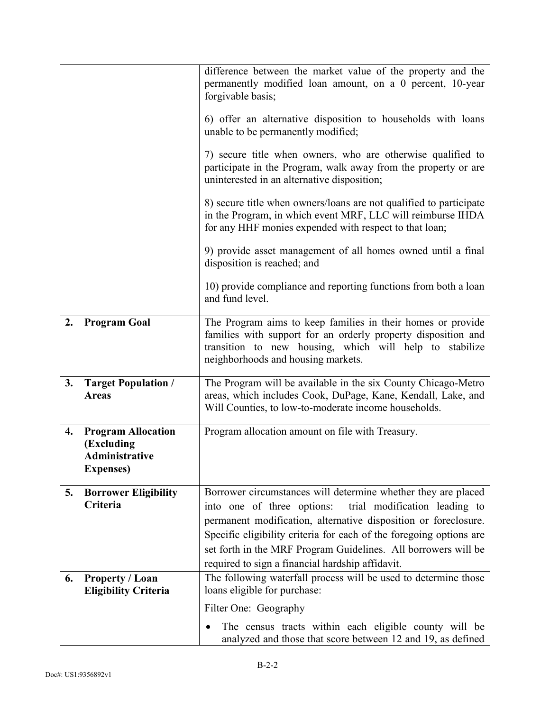|    |                                                                                       | difference between the market value of the property and the<br>permanently modified loan amount, on a 0 percent, 10-year<br>forgivable basis;<br>6) offer an alternative disposition to households with loans<br>unable to be permanently modified;<br>7) secure title when owners, who are otherwise qualified to<br>participate in the Program, walk away from the property or are<br>uninterested in an alternative disposition;<br>8) secure title when owners/loans are not qualified to participate<br>in the Program, in which event MRF, LLC will reimburse IHDA<br>for any HHF monies expended with respect to that loan;<br>9) provide asset management of all homes owned until a final |
|----|---------------------------------------------------------------------------------------|----------------------------------------------------------------------------------------------------------------------------------------------------------------------------------------------------------------------------------------------------------------------------------------------------------------------------------------------------------------------------------------------------------------------------------------------------------------------------------------------------------------------------------------------------------------------------------------------------------------------------------------------------------------------------------------------------|
|    |                                                                                       | disposition is reached; and<br>10) provide compliance and reporting functions from both a loan<br>and fund level.                                                                                                                                                                                                                                                                                                                                                                                                                                                                                                                                                                                  |
| 2. | <b>Program Goal</b>                                                                   | The Program aims to keep families in their homes or provide<br>families with support for an orderly property disposition and<br>transition to new housing, which will help to stabilize<br>neighborhoods and housing markets.                                                                                                                                                                                                                                                                                                                                                                                                                                                                      |
| 3. | <b>Target Population /</b><br><b>Areas</b>                                            | The Program will be available in the six County Chicago-Metro<br>areas, which includes Cook, DuPage, Kane, Kendall, Lake, and<br>Will Counties, to low-to-moderate income households.                                                                                                                                                                                                                                                                                                                                                                                                                                                                                                              |
| 4. | <b>Program Allocation</b><br>(Excluding<br><b>Administrative</b><br><b>Expenses</b> ) | Program allocation amount on file with Treasury.                                                                                                                                                                                                                                                                                                                                                                                                                                                                                                                                                                                                                                                   |
| 5. | <b>Borrower Eligibility</b><br>Criteria                                               | Borrower circumstances will determine whether they are placed<br>into one of three options:<br>trial modification leading to<br>permanent modification, alternative disposition or foreclosure.<br>Specific eligibility criteria for each of the foregoing options are<br>set forth in the MRF Program Guidelines. All borrowers will be<br>required to sign a financial hardship affidavit.                                                                                                                                                                                                                                                                                                       |
| 6. | Property / Loan<br><b>Eligibility Criteria</b>                                        | The following waterfall process will be used to determine those<br>loans eligible for purchase:                                                                                                                                                                                                                                                                                                                                                                                                                                                                                                                                                                                                    |
|    |                                                                                       | Filter One: Geography                                                                                                                                                                                                                                                                                                                                                                                                                                                                                                                                                                                                                                                                              |
|    |                                                                                       | The census tracts within each eligible county will be<br>analyzed and those that score between 12 and 19, as defined                                                                                                                                                                                                                                                                                                                                                                                                                                                                                                                                                                               |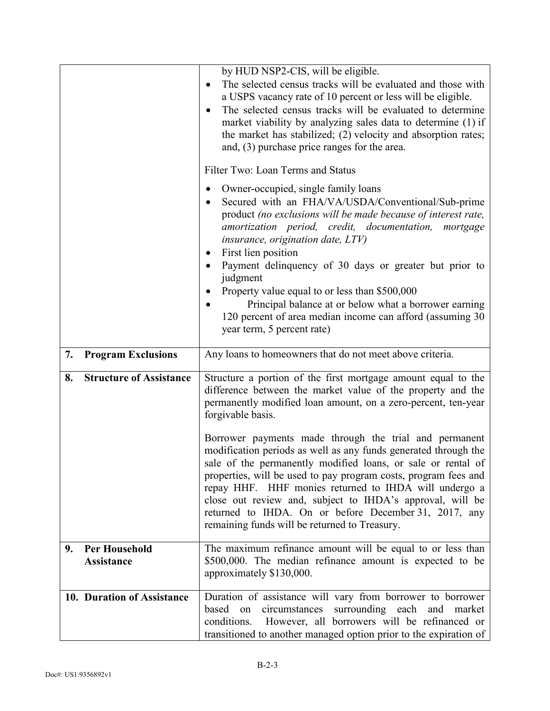|                                                 | by HUD NSP2-CIS, will be eligible.<br>The selected census tracks will be evaluated and those with<br>a USPS vacancy rate of 10 percent or less will be eligible.<br>The selected census tracks will be evaluated to determine<br>$\bullet$<br>market viability by analyzing sales data to determine (1) if<br>the market has stabilized; (2) velocity and absorption rates;<br>and, $(3)$ purchase price ranges for the area.<br>Filter Two: Loan Terms and Status<br>Owner-occupied, single family loans<br>$\bullet$<br>Secured with an FHA/VA/USDA/Conventional/Sub-prime<br>product (no exclusions will be made because of interest rate,<br>amortization period, credit, documentation,<br>mortgage<br>insurance, origination date, $LTV$ )<br>First lien position<br>٠<br>Payment delinquency of 30 days or greater but prior to<br>judgment<br>Property value equal to or less than \$500,000<br>Principal balance at or below what a borrower earning<br>120 percent of area median income can afford (assuming 30)<br>year term, 5 percent rate) |
|-------------------------------------------------|-----------------------------------------------------------------------------------------------------------------------------------------------------------------------------------------------------------------------------------------------------------------------------------------------------------------------------------------------------------------------------------------------------------------------------------------------------------------------------------------------------------------------------------------------------------------------------------------------------------------------------------------------------------------------------------------------------------------------------------------------------------------------------------------------------------------------------------------------------------------------------------------------------------------------------------------------------------------------------------------------------------------------------------------------------------|
| 7.<br><b>Program Exclusions</b>                 | Any loans to homeowners that do not meet above criteria.                                                                                                                                                                                                                                                                                                                                                                                                                                                                                                                                                                                                                                                                                                                                                                                                                                                                                                                                                                                                  |
| <b>Structure of Assistance</b><br>8.            | Structure a portion of the first mortgage amount equal to the<br>difference between the market value of the property and the<br>permanently modified loan amount, on a zero-percent, ten-year<br>forgivable basis.                                                                                                                                                                                                                                                                                                                                                                                                                                                                                                                                                                                                                                                                                                                                                                                                                                        |
|                                                 | Borrower payments made through the trial and permanent<br>modification periods as well as any funds generated through the<br>sale of the permanently modified loans, or sale or rental of<br>properties, will be used to pay program costs, program fees and<br>repay HHF. HHF monies returned to IHDA will undergo a<br>close out review and, subject to IHDA's approval, will be<br>returned to IHDA. On or before December 31, 2017, any<br>remaining funds will be returned to Treasury.                                                                                                                                                                                                                                                                                                                                                                                                                                                                                                                                                              |
| <b>Per Household</b><br>9.<br><b>Assistance</b> | The maximum refinance amount will be equal to or less than<br>\$500,000. The median refinance amount is expected to be<br>approximately \$130,000.                                                                                                                                                                                                                                                                                                                                                                                                                                                                                                                                                                                                                                                                                                                                                                                                                                                                                                        |
| 10. Duration of Assistance                      | Duration of assistance will vary from borrower to borrower<br>based<br>circumstances<br>surrounding each<br>on<br>and<br>market<br>conditions. However, all borrowers will be refinanced or<br>transitioned to another managed option prior to the expiration of                                                                                                                                                                                                                                                                                                                                                                                                                                                                                                                                                                                                                                                                                                                                                                                          |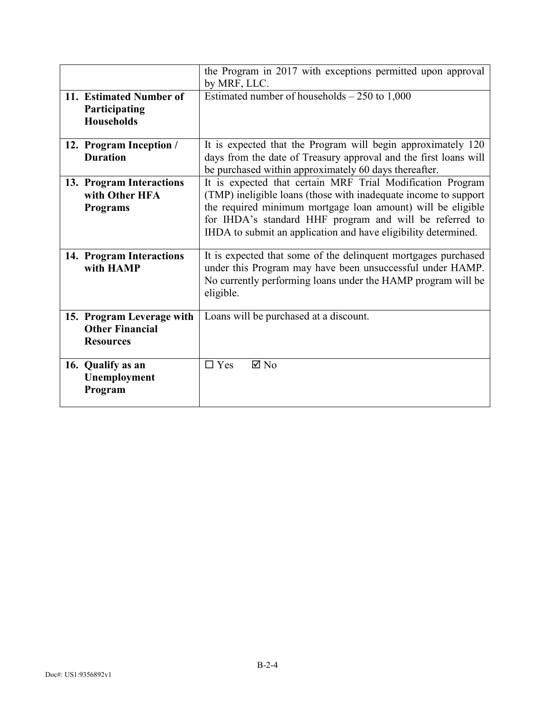|                                                                         | the Program in 2017 with exceptions permitted upon approval<br>by MRF, LLC.                                                                                                                                                                                                                                               |
|-------------------------------------------------------------------------|---------------------------------------------------------------------------------------------------------------------------------------------------------------------------------------------------------------------------------------------------------------------------------------------------------------------------|
| 11. Estimated Number of<br>Participating<br><b>Households</b>           | Estimated number of households $-250$ to 1,000                                                                                                                                                                                                                                                                            |
| 12. Program Inception /<br><b>Duration</b>                              | It is expected that the Program will begin approximately 120<br>days from the date of Treasury approval and the first loans will<br>be purchased within approximately 60 days thereafter.                                                                                                                                 |
| 13. Program Interactions<br>with Other HFA<br><b>Programs</b>           | It is expected that certain MRF Trial Modification Program<br>(TMP) ineligible loans (those with inadequate income to support<br>the required minimum mortgage loan amount) will be eligible<br>for IHDA's standard HHF program and will be referred to<br>IHDA to submit an application and have eligibility determined. |
| 14. Program Interactions<br>with HAMP                                   | It is expected that some of the delinquent mortgages purchased<br>under this Program may have been unsuccessful under HAMP.<br>No currently performing loans under the HAMP program will be<br>eligible.                                                                                                                  |
| 15. Program Leverage with<br><b>Other Financial</b><br><b>Resources</b> | Loans will be purchased at a discount.                                                                                                                                                                                                                                                                                    |
| 16. Qualify as an<br>Unemployment<br>Program                            | $\Box$ Yes<br>$\boxtimes$ No                                                                                                                                                                                                                                                                                              |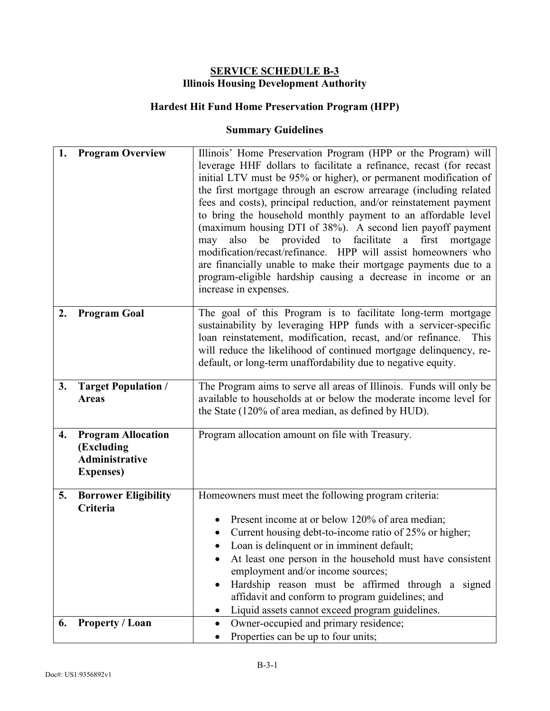#### **SERVICE SCHEDULE B-3 Illinois Housing Development Authority**

# **Hardest Hit Fund Home Preservation Program (HPP)**

| 1. | <b>Program Overview</b>                                                               | Illinois' Home Preservation Program (HPP or the Program) will<br>leverage HHF dollars to facilitate a refinance, recast (for recast<br>initial LTV must be 95% or higher), or permanent modification of<br>the first mortgage through an escrow arrearage (including related<br>fees and costs), principal reduction, and/or reinstatement payment<br>to bring the household monthly payment to an affordable level<br>(maximum housing DTI of 38%). A second lien payoff payment<br>be provided to facilitate<br>first<br>also<br>a<br>mortgage<br>may<br>modification/recast/refinance. HPP will assist homeowners who<br>are financially unable to make their mortgage payments due to a<br>program-eligible hardship causing a decrease in income or an<br>increase in expenses. |
|----|---------------------------------------------------------------------------------------|--------------------------------------------------------------------------------------------------------------------------------------------------------------------------------------------------------------------------------------------------------------------------------------------------------------------------------------------------------------------------------------------------------------------------------------------------------------------------------------------------------------------------------------------------------------------------------------------------------------------------------------------------------------------------------------------------------------------------------------------------------------------------------------|
| 2. | <b>Program Goal</b>                                                                   | The goal of this Program is to facilitate long-term mortgage<br>sustainability by leveraging HPP funds with a servicer-specific<br>loan reinstatement, modification, recast, and/or refinance.<br>This<br>will reduce the likelihood of continued mortgage delinquency, re-<br>default, or long-term unaffordability due to negative equity.                                                                                                                                                                                                                                                                                                                                                                                                                                         |
| 3. | <b>Target Population /</b><br><b>Areas</b>                                            | The Program aims to serve all areas of Illinois. Funds will only be<br>available to households at or below the moderate income level for<br>the State (120% of area median, as defined by HUD).                                                                                                                                                                                                                                                                                                                                                                                                                                                                                                                                                                                      |
| 4. | <b>Program Allocation</b><br>(Excluding<br><b>Administrative</b><br><b>Expenses</b> ) | Program allocation amount on file with Treasury.                                                                                                                                                                                                                                                                                                                                                                                                                                                                                                                                                                                                                                                                                                                                     |
| 5. | <b>Borrower Eligibility</b><br>Criteria                                               | Homeowners must meet the following program criteria:<br>Present income at or below 120% of area median;<br>Current housing debt-to-income ratio of 25% or higher;<br>Loan is delinquent or in imminent default;<br>At least one person in the household must have consistent<br>employment and/or income sources;<br>Hardship reason must be affirmed through a signed<br>affidavit and conform to program guidelines; and<br>Liquid assets cannot exceed program guidelines.                                                                                                                                                                                                                                                                                                        |
| 6. | <b>Property / Loan</b>                                                                | Owner-occupied and primary residence;<br>Properties can be up to four units;                                                                                                                                                                                                                                                                                                                                                                                                                                                                                                                                                                                                                                                                                                         |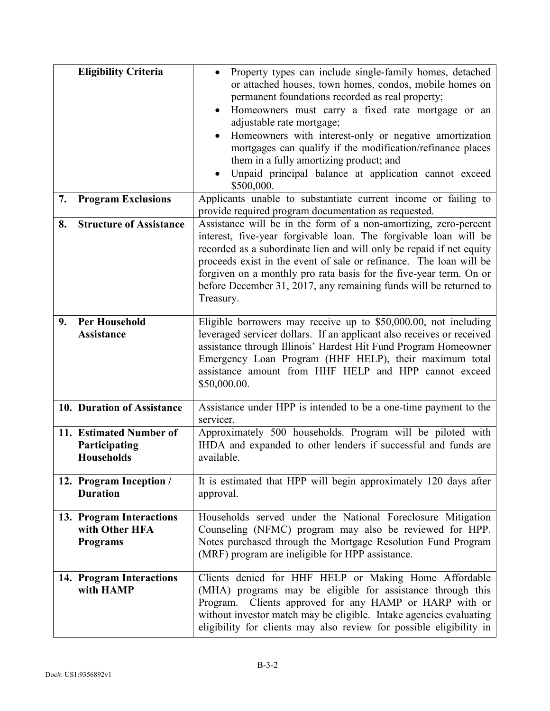|    | <b>Eligibility Criteria</b>                                   | Property types can include single-family homes, detached<br>or attached houses, town homes, condos, mobile homes on<br>permanent foundations recorded as real property;<br>Homeowners must carry a fixed rate mortgage or an<br>adjustable rate mortgage;<br>Homeowners with interest-only or negative amortization<br>mortgages can qualify if the modification/refinance places<br>them in a fully amortizing product; and<br>Unpaid principal balance at application cannot exceed<br>\$500,000. |
|----|---------------------------------------------------------------|-----------------------------------------------------------------------------------------------------------------------------------------------------------------------------------------------------------------------------------------------------------------------------------------------------------------------------------------------------------------------------------------------------------------------------------------------------------------------------------------------------|
| 7. | <b>Program Exclusions</b>                                     | Applicants unable to substantiate current income or failing to<br>provide required program documentation as requested.                                                                                                                                                                                                                                                                                                                                                                              |
| 8. | <b>Structure of Assistance</b>                                | Assistance will be in the form of a non-amortizing, zero-percent<br>interest, five-year forgivable loan. The forgivable loan will be<br>recorded as a subordinate lien and will only be repaid if net equity<br>proceeds exist in the event of sale or refinance. The loan will be<br>forgiven on a monthly pro rata basis for the five-year term. On or<br>before December 31, 2017, any remaining funds will be returned to<br>Treasury.                                                          |
| 9. | <b>Per Household</b><br><b>Assistance</b>                     | Eligible borrowers may receive up to \$50,000.00, not including<br>leveraged servicer dollars. If an applicant also receives or received<br>assistance through Illinois' Hardest Hit Fund Program Homeowner<br>Emergency Loan Program (HHF HELP), their maximum total<br>assistance amount from HHF HELP and HPP cannot exceed<br>\$50,000.00.                                                                                                                                                      |
|    | 10. Duration of Assistance                                    | Assistance under HPP is intended to be a one-time payment to the<br>servicer.                                                                                                                                                                                                                                                                                                                                                                                                                       |
|    | 11. Estimated Number of<br>Participating<br><b>Households</b> | Approximately 500 households. Program will be piloted with<br>IHDA and expanded to other lenders if successful and funds are<br>available.                                                                                                                                                                                                                                                                                                                                                          |
|    | 12. Program Inception /<br><b>Duration</b>                    | It is estimated that HPP will begin approximately 120 days after<br>approval.                                                                                                                                                                                                                                                                                                                                                                                                                       |
|    | 13. Program Interactions<br>with Other HFA<br><b>Programs</b> | Households served under the National Foreclosure Mitigation<br>Counseling (NFMC) program may also be reviewed for HPP.<br>Notes purchased through the Mortgage Resolution Fund Program<br>(MRF) program are ineligible for HPP assistance.                                                                                                                                                                                                                                                          |
|    | 14. Program Interactions<br>with HAMP                         | Clients denied for HHF HELP or Making Home Affordable<br>(MHA) programs may be eligible for assistance through this<br>Program. Clients approved for any HAMP or HARP with or<br>without investor match may be eligible. Intake agencies evaluating<br>eligibility for clients may also review for possible eligibility in                                                                                                                                                                          |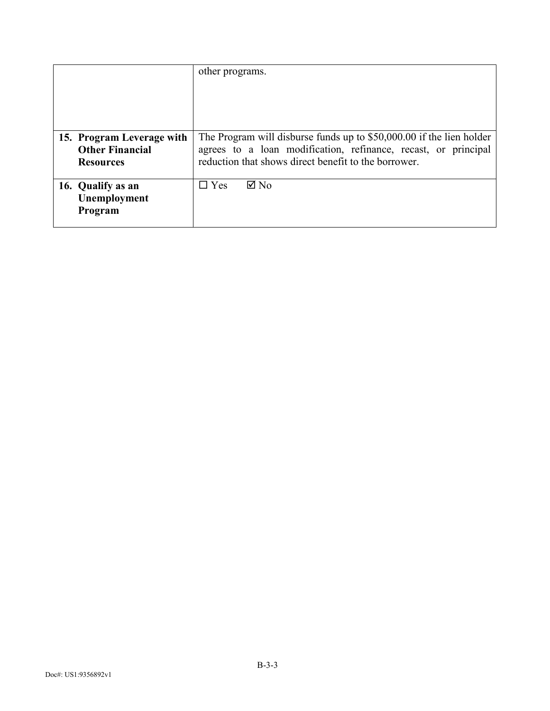|                                                                         | other programs.                                                                                                                                                                                |
|-------------------------------------------------------------------------|------------------------------------------------------------------------------------------------------------------------------------------------------------------------------------------------|
| 15. Program Leverage with<br><b>Other Financial</b><br><b>Resources</b> | The Program will disburse funds up to \$50,000.00 if the lien holder<br>agrees to a loan modification, refinance, recast, or principal<br>reduction that shows direct benefit to the borrower. |
| 16. Qualify as an<br>Unemployment<br>Program                            | $\boxtimes$ No<br>$\Box$ Yes                                                                                                                                                                   |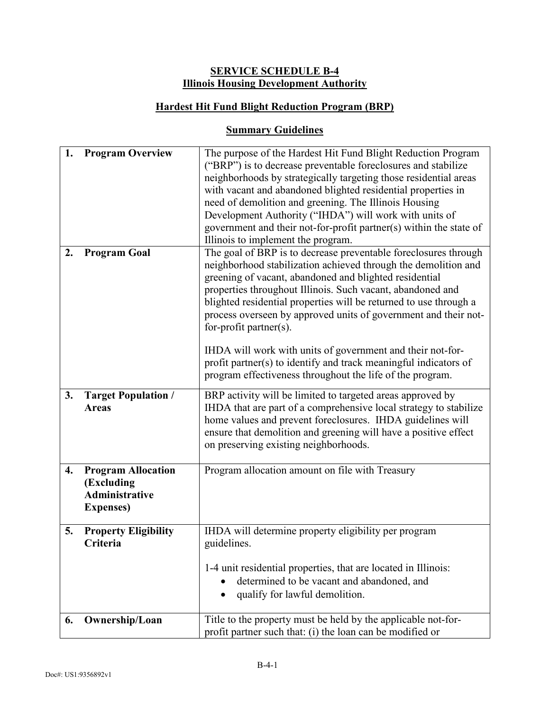# **SERVICE SCHEDULE B-4 Illinois Housing Development Authority**

# **Hardest Hit Fund Blight Reduction Program (BRP)**

| 1. | <b>Program Overview</b>                                                               | The purpose of the Hardest Hit Fund Blight Reduction Program<br>("BRP") is to decrease preventable foreclosures and stabilize<br>neighborhoods by strategically targeting those residential areas<br>with vacant and abandoned blighted residential properties in<br>need of demolition and greening. The Illinois Housing<br>Development Authority ("IHDA") will work with units of<br>government and their not-for-profit partner(s) within the state of<br>Illinois to implement the program. |  |
|----|---------------------------------------------------------------------------------------|--------------------------------------------------------------------------------------------------------------------------------------------------------------------------------------------------------------------------------------------------------------------------------------------------------------------------------------------------------------------------------------------------------------------------------------------------------------------------------------------------|--|
| 2. | <b>Program Goal</b>                                                                   | The goal of BRP is to decrease preventable foreclosures through<br>neighborhood stabilization achieved through the demolition and<br>greening of vacant, abandoned and blighted residential<br>properties throughout Illinois. Such vacant, abandoned and<br>blighted residential properties will be returned to use through a<br>process overseen by approved units of government and their not-<br>for-profit partner $(s)$ .                                                                  |  |
|    |                                                                                       | IHDA will work with units of government and their not-for-<br>profit partner(s) to identify and track meaningful indicators of<br>program effectiveness throughout the life of the program.                                                                                                                                                                                                                                                                                                      |  |
| 3. | <b>Target Population /</b><br><b>Areas</b>                                            | BRP activity will be limited to targeted areas approved by<br>IHDA that are part of a comprehensive local strategy to stabilize<br>home values and prevent foreclosures. IHDA guidelines will<br>ensure that demolition and greening will have a positive effect<br>on preserving existing neighborhoods.                                                                                                                                                                                        |  |
| 4. | <b>Program Allocation</b><br>(Excluding<br><b>Administrative</b><br><b>Expenses</b> ) | Program allocation amount on file with Treasury                                                                                                                                                                                                                                                                                                                                                                                                                                                  |  |
| 5. | <b>Property Eligibility</b><br>Criteria                                               | IHDA will determine property eligibility per program<br>guidelines.<br>1-4 unit residential properties, that are located in Illinois:<br>determined to be vacant and abandoned, and<br>qualify for lawful demolition.<br>٠                                                                                                                                                                                                                                                                       |  |
| 6. | Ownership/Loan                                                                        | Title to the property must be held by the applicable not-for-<br>profit partner such that: (i) the loan can be modified or                                                                                                                                                                                                                                                                                                                                                                       |  |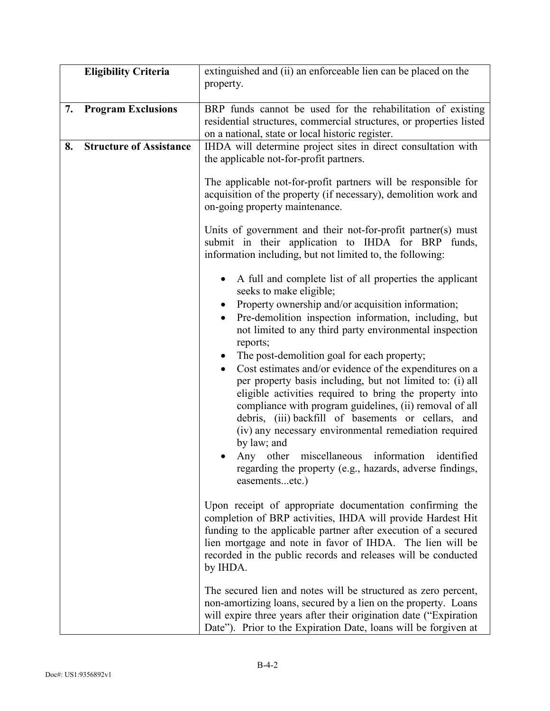|    | <b>Eligibility Criteria</b>    | extinguished and (ii) an enforceable lien can be placed on the<br>property.                                                                                                                                                                                                                                                                                                                                                                                                                                                                                                                                                                                                                                                                                                                                                                        |  |  |
|----|--------------------------------|----------------------------------------------------------------------------------------------------------------------------------------------------------------------------------------------------------------------------------------------------------------------------------------------------------------------------------------------------------------------------------------------------------------------------------------------------------------------------------------------------------------------------------------------------------------------------------------------------------------------------------------------------------------------------------------------------------------------------------------------------------------------------------------------------------------------------------------------------|--|--|
| 7. | <b>Program Exclusions</b>      | BRP funds cannot be used for the rehabilitation of existing<br>residential structures, commercial structures, or properties listed<br>on a national, state or local historic register.                                                                                                                                                                                                                                                                                                                                                                                                                                                                                                                                                                                                                                                             |  |  |
| 8. | <b>Structure of Assistance</b> | IHDA will determine project sites in direct consultation with<br>the applicable not-for-profit partners.                                                                                                                                                                                                                                                                                                                                                                                                                                                                                                                                                                                                                                                                                                                                           |  |  |
|    |                                | The applicable not-for-profit partners will be responsible for<br>acquisition of the property (if necessary), demolition work and<br>on-going property maintenance.                                                                                                                                                                                                                                                                                                                                                                                                                                                                                                                                                                                                                                                                                |  |  |
|    |                                | Units of government and their not-for-profit partner(s) must<br>submit in their application to IHDA for BRP funds,<br>information including, but not limited to, the following:                                                                                                                                                                                                                                                                                                                                                                                                                                                                                                                                                                                                                                                                    |  |  |
|    |                                | A full and complete list of all properties the applicant<br>seeks to make eligible;<br>Property ownership and/or acquisition information;<br>Pre-demolition inspection information, including, but<br>not limited to any third party environmental inspection<br>reports;<br>The post-demolition goal for each property;<br>Cost estimates and/or evidence of the expenditures on a<br>$\bullet$<br>per property basis including, but not limited to: (i) all<br>eligible activities required to bring the property into<br>compliance with program guidelines, (ii) removal of all<br>debris, (iii) backfill of basements or cellars, and<br>(iv) any necessary environmental remediation required<br>by law; and<br>Any other miscellaneous information identified<br>regarding the property (e.g., hazards, adverse findings,<br>easementsetc.) |  |  |
|    |                                | Upon receipt of appropriate documentation confirming the<br>completion of BRP activities, IHDA will provide Hardest Hit<br>funding to the applicable partner after execution of a secured<br>lien mortgage and note in favor of IHDA. The lien will be<br>recorded in the public records and releases will be conducted<br>by IHDA.                                                                                                                                                                                                                                                                                                                                                                                                                                                                                                                |  |  |
|    |                                | The secured lien and notes will be structured as zero percent,<br>non-amortizing loans, secured by a lien on the property. Loans<br>will expire three years after their origination date ("Expiration"<br>Date"). Prior to the Expiration Date, loans will be forgiven at                                                                                                                                                                                                                                                                                                                                                                                                                                                                                                                                                                          |  |  |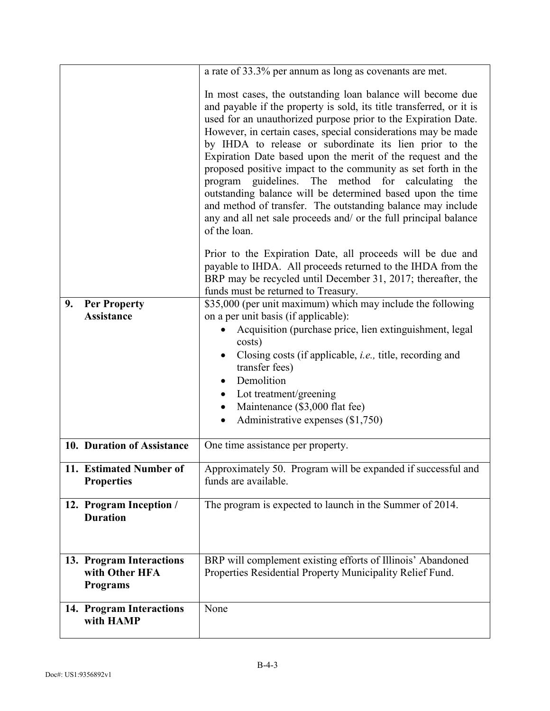|                                                               | a rate of 33.3% per annum as long as covenants are met.                                                                                                                                                                                                                                                                                                                                                                                                                                                                                                                                                                                                                                                                                        |
|---------------------------------------------------------------|------------------------------------------------------------------------------------------------------------------------------------------------------------------------------------------------------------------------------------------------------------------------------------------------------------------------------------------------------------------------------------------------------------------------------------------------------------------------------------------------------------------------------------------------------------------------------------------------------------------------------------------------------------------------------------------------------------------------------------------------|
|                                                               | In most cases, the outstanding loan balance will become due<br>and payable if the property is sold, its title transferred, or it is<br>used for an unauthorized purpose prior to the Expiration Date.<br>However, in certain cases, special considerations may be made<br>by IHDA to release or subordinate its lien prior to the<br>Expiration Date based upon the merit of the request and the<br>proposed positive impact to the community as set forth in the<br>guidelines. The method for calculating<br>program<br>the<br>outstanding balance will be determined based upon the time<br>and method of transfer. The outstanding balance may include<br>any and all net sale proceeds and/ or the full principal balance<br>of the loan. |
|                                                               | Prior to the Expiration Date, all proceeds will be due and<br>payable to IHDA. All proceeds returned to the IHDA from the<br>BRP may be recycled until December 31, 2017; thereafter, the<br>funds must be returned to Treasury.                                                                                                                                                                                                                                                                                                                                                                                                                                                                                                               |
| 9.<br><b>Per Property</b><br><b>Assistance</b>                | \$35,000 (per unit maximum) which may include the following<br>on a per unit basis (if applicable):<br>Acquisition (purchase price, lien extinguishment, legal<br>$\bullet$<br>costs)<br>Closing costs (if applicable, <i>i.e.</i> , title, recording and<br>transfer fees)<br>Demolition<br>Lot treatment/greening<br>$\bullet$<br>Maintenance (\$3,000 flat fee)<br>$\bullet$<br>Administrative expenses (\$1,750)                                                                                                                                                                                                                                                                                                                           |
| 10. Duration of Assistance                                    | One time assistance per property.                                                                                                                                                                                                                                                                                                                                                                                                                                                                                                                                                                                                                                                                                                              |
| 11. Estimated Number of<br><b>Properties</b>                  | Approximately 50. Program will be expanded if successful and<br>funds are available.                                                                                                                                                                                                                                                                                                                                                                                                                                                                                                                                                                                                                                                           |
| 12. Program Inception /<br><b>Duration</b>                    | The program is expected to launch in the Summer of 2014.                                                                                                                                                                                                                                                                                                                                                                                                                                                                                                                                                                                                                                                                                       |
| 13. Program Interactions<br>with Other HFA<br><b>Programs</b> | BRP will complement existing efforts of Illinois' Abandoned<br>Properties Residential Property Municipality Relief Fund.                                                                                                                                                                                                                                                                                                                                                                                                                                                                                                                                                                                                                       |
| 14. Program Interactions<br>with HAMP                         | None                                                                                                                                                                                                                                                                                                                                                                                                                                                                                                                                                                                                                                                                                                                                           |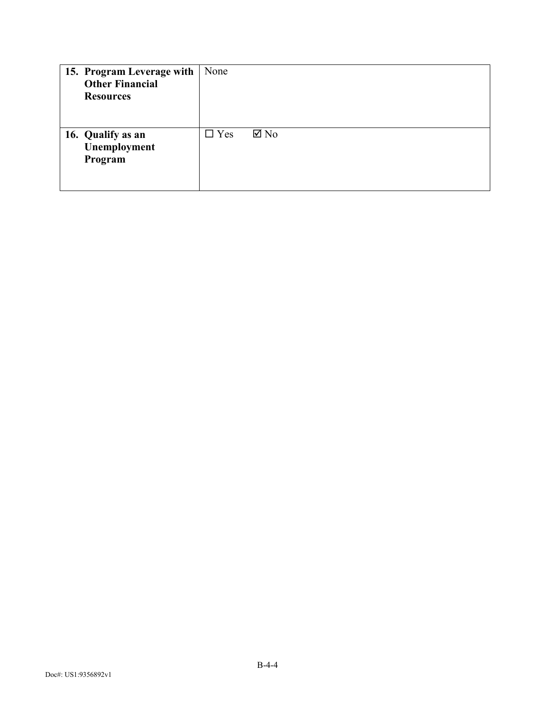| 15. Program Leverage with<br><b>Other Financial</b><br><b>Resources</b> | None                         |
|-------------------------------------------------------------------------|------------------------------|
| 16. Qualify as an<br>Unemployment<br>Program                            | $\Box$ Yes<br>$\boxtimes$ No |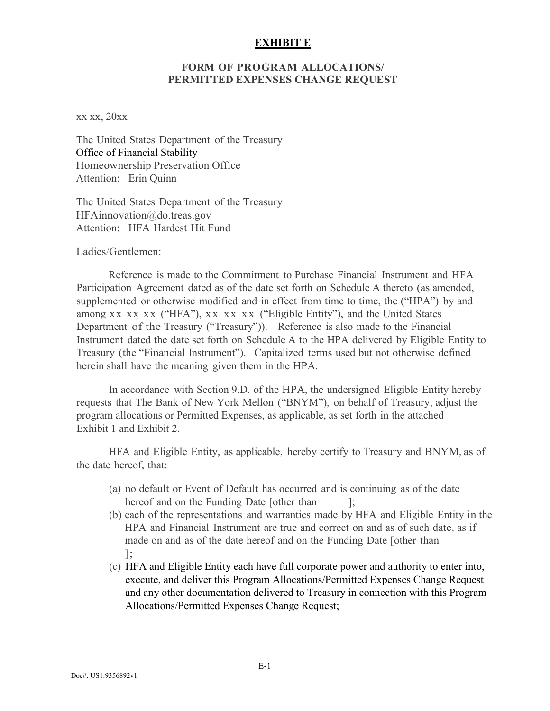#### **EXHIBIT E**

#### **FORM OF PROGRAM ALLOCATIONS/ PERMITTED EXPENSES CHANGE REQUEST**

xx xx, 20xx

The United States Department of the Treasur[y](mailto:OFSChiefCounselNotices@do.treas.gov) Office of Financial Stability [Homeownersh](mailto:HFAinnovation@do.treas.gov)ip Preservation Office Attention: Erin Quinn

The United States Department of the Treasur[y](mailto:OFSChiefCounselNotices@do.treas.gov) [HFAinnovation@do.treas.gov](mailto:HFAinnovation@do.treas.gov)  Attention: HFA Hardest Hit Fund

Ladies/Gentlemen:

Reference is made to the Commitment to Purchase Financial Instrument and HFA Participation Agreement dated as of the date set forth on Schedule A thereto (as amended, supplemented or otherwise modified and in effect from time to time, the ("HPA") by and among xx xx xx ("HFA"), xx xx xx ("Eligible Entity"), and the United States Department of the Treasury ("Treasury")). Reference is also made to the Financial Instrument dated the date set forth on Schedule A to the HPA delivered by Eligible Entity to Treasury (the "Financial Instrument"). Capitalized terms used but not otherwise defined herein shall have the meaning given them in the HPA.

In accordance with Section 9.D. of the HPA, the undersigned Eligible Entity hereby requests that The Bank of New York Mellon ("BNYM"), on behalf of Treasury, adjust the program allocations or Permitted Expenses, as applicable, as set forth in the attached Exhibit 1 and Exhibit 2.

HFA and Eligible Entity, as applicable, hereby certify to Treasury and BNYM, as of the date hereof, that:

- (a) no default or Event of Default has occurred and is continuing as of the date hereof and on the Funding Date [other than ];
- (b) each of the representations and warranties made by HFA and Eligible Entity in the HPA and Financial Instrument are true and correct on and as of such date, as if made on and as of the date hereof and on the Funding Date [other than ];
- (c) HFA and Eligible Entity each have full corporate power and authority to enter into, execute, and deliver this Program Allocations/Permitted Expenses Change Request and any other documentation delivered to Treasury in connection with this Program Allocations/Permitted Expenses Change Request;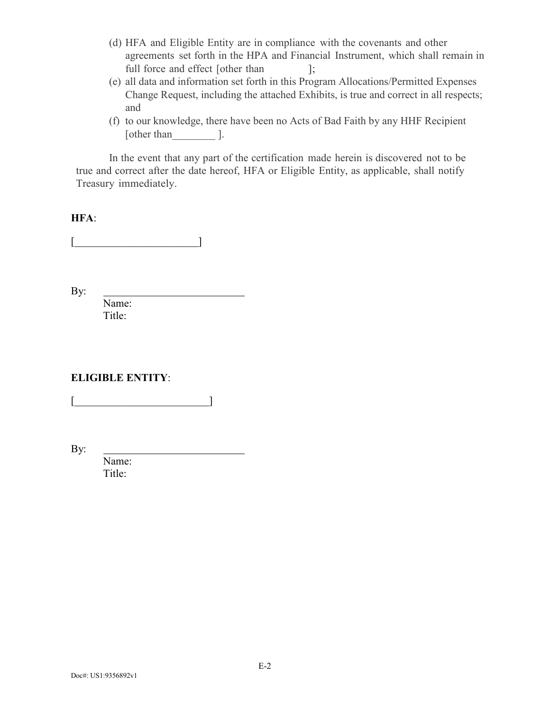- (d) HFA and Eligible Entity are in compliance with the covenants and other agreements set forth in the HPA and Financial Instrument, which shall remain in full force and effect [other than ];
- (e) all data and information set forth in this Program Allocations/Permitted Expenses Change Request, including the attached Exhibits, is true and correct in all respects; and
- (f) to our knowledge, there have been no Acts of Bad Faith by any HHF Recipient [other than \_\_\_\_\_\_\_\_\_ ].

In the event that any part of the certification made herein is discovered not to be true and correct after the date hereof, HFA or Eligible Entity, as applicable, shall notify Treasury immediately.

#### **HFA**:

 $\begin{bmatrix} \begin{bmatrix} 1 & 1 & 1 & 1 \end{bmatrix} & \begin{bmatrix} 1 & 1 & 1 \end{bmatrix} & \begin{bmatrix} 1 & 1 & 1 \end{bmatrix} & \begin{bmatrix} 1 & 1 & 1 \end{bmatrix} & \begin{bmatrix} 1 & 1 & 1 \end{bmatrix} & \begin{bmatrix} 1 & 1 & 1 \end{bmatrix} & \begin{bmatrix} 1 & 1 & 1 \end{bmatrix} & \begin{bmatrix} 1 & 1 & 1 \end{bmatrix} & \begin{bmatrix} 1 & 1 & 1 \end{bmatrix} & \begin{bmatrix} 1 & 1 & 1 \end{bmatrix} & \$ 

By:

Name: Title:

### **ELIGIBLE ENTITY**:

 $\begin{bmatrix} \begin{bmatrix} 1 & 1 & 1 \end{bmatrix} & \begin{bmatrix} 1 & 1 & 1 \end{bmatrix} & \begin{bmatrix} 1 & 1 & 1 \end{bmatrix} & \begin{bmatrix} 1 & 1 & 1 \end{bmatrix} & \begin{bmatrix} 1 & 1 & 1 \end{bmatrix} & \begin{bmatrix} 1 & 1 & 1 \end{bmatrix} & \begin{bmatrix} 1 & 1 & 1 \end{bmatrix} & \begin{bmatrix} 1 & 1 & 1 \end{bmatrix} & \begin{bmatrix} 1 & 1 & 1 \end{bmatrix} & \begin{bmatrix} 1 & 1 & 1 \end{bmatrix} & \begin{b$ 

By:

Name: Title: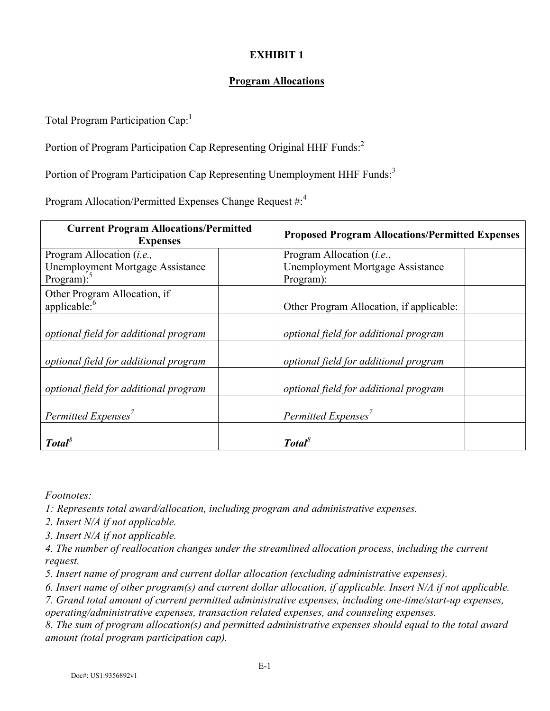# **EXHIBIT 1**

# **Program Allocations**

Total Program Participation Cap:<sup>1</sup>

Portion of Program Participation Cap Representing Original HHF Funds:<sup>2</sup>

Portion of Program Participation Cap Representing Unemployment HHF Funds:<sup>3</sup>

Program Allocation/Permitted Expenses Change Request #:<sup>4</sup>

| <b>Current Program Allocations/Permitted</b><br><b>Expenses</b> | <b>Proposed Program Allocations/Permitted Expenses</b> |  |  |
|-----------------------------------------------------------------|--------------------------------------------------------|--|--|
| Program Allocation ( <i>i.e.</i> ,                              | Program Allocation ( <i>i.e.</i> ,                     |  |  |
| <b>Unemployment Mortgage Assistance</b>                         | <b>Unemployment Mortgage Assistance</b>                |  |  |
| Program): $5$                                                   | Program):                                              |  |  |
| Other Program Allocation, if                                    |                                                        |  |  |
| applicable: <sup>6</sup>                                        | Other Program Allocation, if applicable:               |  |  |
| optional field for additional program                           | optional field for additional program                  |  |  |
| optional field for additional program                           | optional field for additional program                  |  |  |
| optional field for additional program                           | optional field for additional program                  |  |  |
| Permitted Expenses <sup>7</sup>                                 | Permitted Expenses $^7$                                |  |  |
| Total <sup>8</sup>                                              | Total                                                  |  |  |

*Footnotes:*

*1: Represents total award/allocation, including program and administrative expenses.*

*2. Insert N/A if not applicable.*

*3. Insert N/A if not applicable.*

*4. The number of reallocation changes under the streamlined allocation process, including the current request.*

*5. Insert name of program and current dollar allocation (excluding administrative expenses).*

*6. Insert name of other program(s) and current dollar allocation, if applicable. Insert N/A if not applicable.*

*7. Grand total amount of current permitted administrative expenses, including one-time/start-up expenses,* 

*operating/administrative expenses, transaction related expenses, and counseling expenses.*

*8. The sum of program allocation(s) and permitted administrative expenses should equal to the total award amount (total program participation cap).*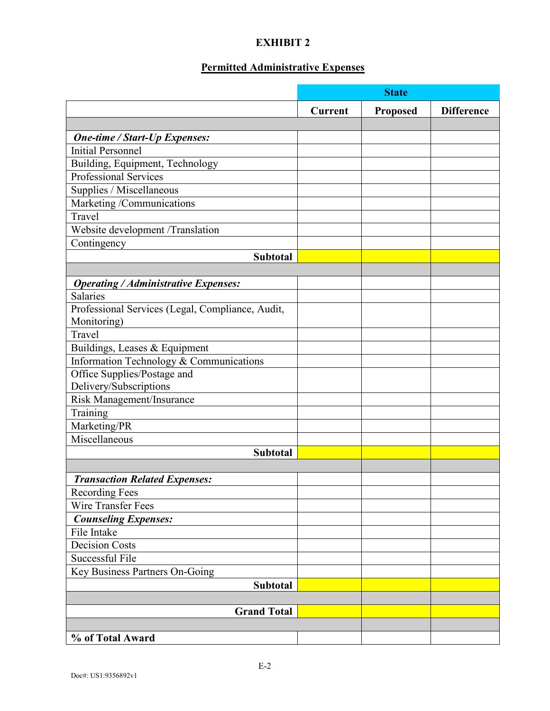# **EXHIBIT 2**

# **Permitted Administrative Expenses**

|                                                  |         | <b>State</b>    |                   |
|--------------------------------------------------|---------|-----------------|-------------------|
|                                                  | Current | <b>Proposed</b> | <b>Difference</b> |
|                                                  |         |                 |                   |
| <b>One-time / Start-Up Expenses:</b>             |         |                 |                   |
| <b>Initial Personnel</b>                         |         |                 |                   |
| Building, Equipment, Technology                  |         |                 |                   |
| <b>Professional Services</b>                     |         |                 |                   |
| Supplies / Miscellaneous                         |         |                 |                   |
| Marketing /Communications                        |         |                 |                   |
| Travel                                           |         |                 |                   |
| Website development /Translation                 |         |                 |                   |
| Contingency                                      |         |                 |                   |
| <b>Subtotal</b>                                  |         |                 |                   |
|                                                  |         |                 |                   |
| <b>Operating / Administrative Expenses:</b>      |         |                 |                   |
| Salaries                                         |         |                 |                   |
| Professional Services (Legal, Compliance, Audit, |         |                 |                   |
| Monitoring)                                      |         |                 |                   |
| Travel                                           |         |                 |                   |
| Buildings, Leases & Equipment                    |         |                 |                   |
| Information Technology & Communications          |         |                 |                   |
| Office Supplies/Postage and                      |         |                 |                   |
| Delivery/Subscriptions                           |         |                 |                   |
| Risk Management/Insurance                        |         |                 |                   |
| Training                                         |         |                 |                   |
| Marketing/PR                                     |         |                 |                   |
| Miscellaneous                                    |         |                 |                   |
| <b>Subtotal</b>                                  |         |                 |                   |
|                                                  |         |                 |                   |
| <b>Transaction Related Expenses:</b>             |         |                 |                   |
| <b>Recording Fees</b>                            |         |                 |                   |
| <b>Wire Transfer Fees</b>                        |         |                 |                   |
| <b>Counseling Expenses:</b>                      |         |                 |                   |
| File Intake                                      |         |                 |                   |
| <b>Decision Costs</b>                            |         |                 |                   |
| Successful File                                  |         |                 |                   |
| Key Business Partners On-Going                   |         |                 |                   |
| Subtotal                                         |         |                 |                   |
|                                                  |         |                 |                   |
| <b>Grand Total</b>                               |         |                 |                   |
|                                                  |         |                 |                   |
| % of Total Award                                 |         |                 |                   |